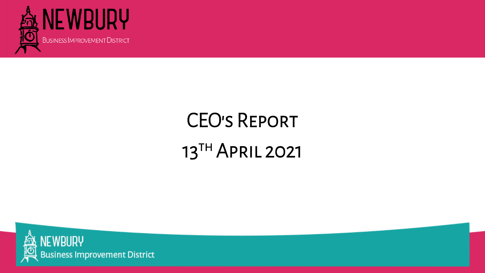

### CEO's Report 13TH APRIL 2021



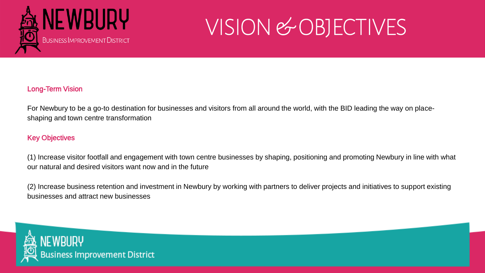

### VISION & OBJECTIVES

#### Long-Term Vision

For Newbury to be a go-to destination for businesses and visitors from all around the world, with the BID leading the way on placeshaping and town centre transformation

#### Key Objectives

(1) Increase visitor footfall and engagement with town centre businesses by shaping, positioning and promoting Newbury in line with what our natural and desired visitors want now and in the future

(2) Increase business retention and investment in Newbury by working with partners to deliver projects and initiatives to support existing businesses and attract new businesses



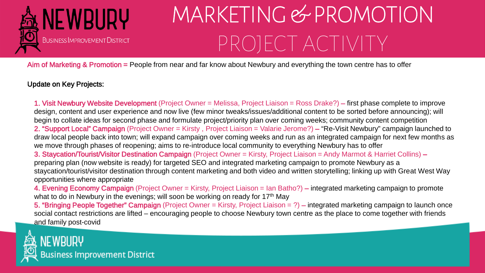

Aim of Marketing & Promotion = People from near and far know about Newbury and everything the town centre has to offer

# MARKETING & PROMOTION PROJECT ACTIVITY

#### Update on Key Projects:

1. Visit Newbury Website Development (Project Owner = Melissa, Project Liaison = Ross Drake?) – first phase complete to improve design, content and user experience and now live (few minor tweaks/issues/additional content to be sorted before announcing); will begin to collate ideas for second phase and formulate project/priority plan over coming weeks; community content competition 2. "Support Local" Campaign (Project Owner = Kirsty , Project Liaison = Valarie Jerome?) – "Re-Visit Newbury" campaign launched to draw local people back into town; will expand campaign over coming weeks and run as an integrated campaign for next few months as we move through phases of reopening; aims to re-introduce local community to everything Newbury has to offer 3. Staycation/Tourist/Visitor Destination Campaign (Project Owner = Kirsty, Project Liaison = Andy Marmot & Harriet Collins) – preparing plan (now website is ready) for targeted SEO and integrated marketing campaign to promote Newbury as a staycation/tourist/visitor destination through content marketing and both video and written storytelling; linking up with Great West Way opportunities where appropriate

4. Evening Economy Campaign (Project Owner = Kirsty, Project Liaison = Ian Batho?) – integrated marketing campaign to promote what to do in Newbury in the evenings; will soon be working on ready for 17<sup>th</sup> May 5. "Bringing People Together" Campaign (Project Owner = Kirsty, Project Liaison = ?) – integrated marketing campaign to launch once social contact restrictions are lifted – encouraging people to choose Newbury town centre as the place to come together with friends and family post-covid

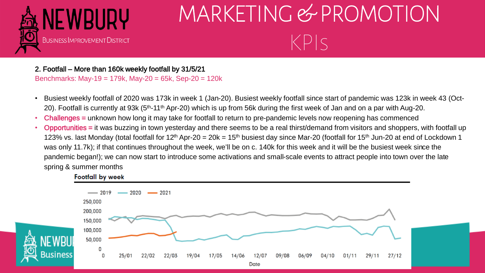

2. Footfall – More than 160k weekly footfall by 31/5/21 Benchmarks: May-19 = 179k, May-20 = 65k, Sep-20 = 120k

- Busiest weekly footfall of 2020 was 173k in week 1 (Jan-20). Busiest weekly footfall since start of pandemic was 123k in week 43 (Oct-20). Footfall is currently at 93k (5<sup>th</sup>-11<sup>th</sup> Apr-20) which is up from 56k during the first week of Jan and on a par with Aug-20.
- Challenges = unknown how long it may take for footfall to return to pre-pandemic levels now reopening has commenced
- Opportunities = it was buzzing in town yesterday and there seems to be a real thirst/demand from visitors and shoppers, with footfall up 123% vs. last Monday (total footfall for 12<sup>th</sup> Apr-20 = 20k = 15<sup>th</sup> busiest day since Mar-20 (footfall for 15<sup>th</sup> Jun-20 at end of Lockdown 1 was only 11.7k); if that continues throughout the week, we'll be on c. 140k for this week and it will be the busiest week since the pandemic began!); we can now start to introduce some activations and small-scale events to attract people into town over the late spring & summer months



#### **Footfall by week**

### MARKETING & PROMOTION  $KPIS$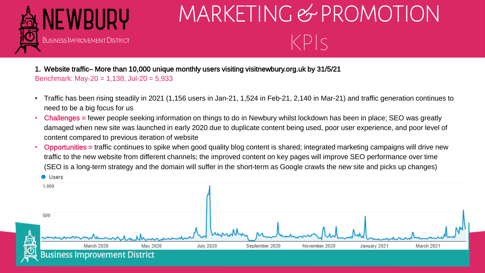

1. Website traffic– More than 10,000 unique monthly users visiting visitnewbury.org.uk by 31/5/21 Benchmark: May-20 = 1,138, Jul-20 = 5,933

- Traffic has been rising steadily in 2021 (1,156 users in Jan-21, 1,524 in Feb-21, 2,140 in Mar-21) and traffic generation continues to need to be a big focus for us
- Challenges = fewer people seeking information on things to do in Newbury whilst lockdown has been in place; SEO was greatly damaged when new site was launched in early 2020 due to duplicate content being used, poor user experience, and poor level of content compared to previous iteration of website
- Opportunities = traffic continues to spike when good quality blog content is shared; integrated marketing campaigns will drive new traffic to the new website from different channels; the improved content on key pages will improve SEO performance over time (SEO is a long-term strategy and the domain will suffer in the short-term as Google crawls the new site and picks up changes)



### MARKETING & PROMOTION  $KPIS$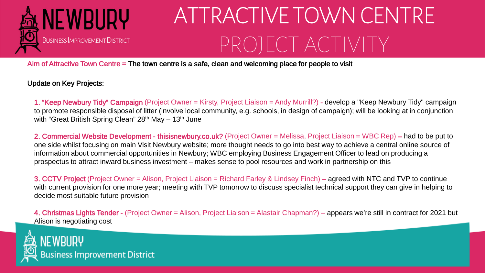# ATTRACTIVE TOWN CENTRE PROJECT ACTIVITY

1. "Keep Newbury Tidy" Campaign (Project Owner = Kirsty, Project Liaison = Andy Murrill?) - develop a "Keep Newbury Tidy" campaign to promote responsible disposal of litter (involve local community, e.g. schools, in design of campaign); will be looking at in conjunction with "Great British Spring Clean" 28<sup>th</sup> May – 13<sup>th</sup> June



Aim of Attractive Town Centre = The town centre is a safe, clean and welcoming place for people to visit

Update on Key Projects:

2. Commercial Website Development - thisisnewbury.co.uk? (Project Owner = Melissa, Project Liaison = WBC Rep) – had to be put to one side whilst focusing on main Visit Newbury website; more thought needs to go into best way to achieve a central online source of information about commercial opportunities in Newbury; WBC employing Business Engagement Officer to lead on producing a prospectus to attract inward business investment – makes sense to pool resources and work in partnership on this

3. CCTV Project (Project Owner = Alison, Project Liaison = Richard Farley & Lindsey Finch) – agreed with NTC and TVP to continue with current provision for one more year; meeting with TVP tomorrow to discuss specialist technical support they can give in helping to decide most suitable future provision

4. Christmas Lights Tender - (Project Owner = Alison, Project Liaison = Alastair Chapman?) – appears we're still in contract for 2021 but Alison is negotiating cost

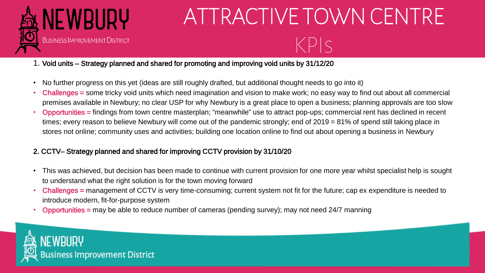

# ATTRACTIVE TOWN CENTRE



- KPIs
	-

### 1. Void units – Strategy planned and shared for promoting and improving void units by 31/12/20

- No further progress on this yet (ideas are still roughly drafted, but additional thought needs to go into it)
- Challenges = some tricky void units which need imagination and vision to make work; no easy way to find out about all commercial premises available in Newbury; no clear USP for why Newbury is a great place to open a business; planning approvals are too slow • Opportunities = findings from town centre masterplan; "meanwhile" use to attract pop-ups; commercial rent has declined in recent times; every reason to believe Newbury will come out of the pandemic strongly; end of 2019 = 81% of spend still taking place in stores not online; community uses and activities; building one location online to find out about opening a business in Newbury
- 

#### 2. CCTV– Strategy planned and shared for improving CCTV provision by 31/10/20

- This was achieved, but decision has been made to continue with current provision for one more year whilst specialist help is sought to understand what the right solution is for the town moving forward
- Challenges = management of CCTV is very time-consuming; current system not fit for the future; cap ex expenditure is needed to introduce modern, fit-for-purpose system
- Opportunities = may be able to reduce number of cameras (pending survey); may not need 24/7 manning

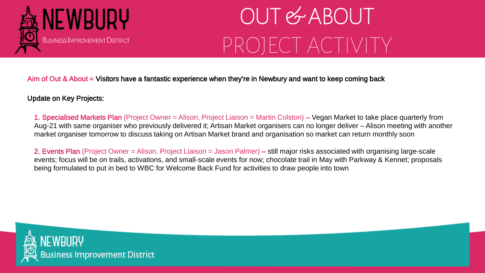



Aim of Out & About = Visitors have a fantastic experience when they're in Newbury and want to keep coming back

#### Update on Key Projects:

1. Specialised Markets Plan (Project Owner = Alison, Project Liaison = Martin Colston) – Vegan Market to take place quarterly from Aug-21 with same organiser who previously delivered it; Artisan Market organisers can no longer deliver – Alison meeting with another market organiser tomorrow to discuss taking on Artisan Market brand and organisation so market can return monthly soon

2. Events Plan (Project Owner = Alison, Project Liaison = Jason Palmer) – still major risks associated with organising large-scale events; focus will be on trails, activations, and small-scale events for now; chocolate trail in May with Parkway & Kennet; proposals being formulated to put in bed to WBC for Welcome Back Fund for activities to draw people into town

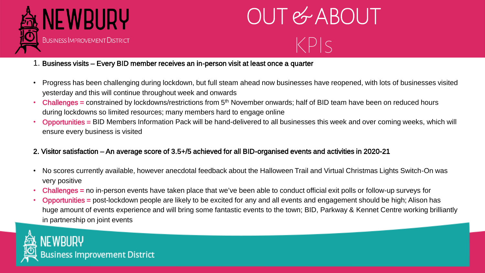![](_page_8_Picture_0.jpeg)

# OUT & ABOUT KPIs

![](_page_8_Picture_2.jpeg)

#### 1. Business visits – Every BID member receives an in-person visit at least once a quarter

- Progress has been challenging during lockdown, but full steam ahead now businesses have reopened, with lots of businesses visited yesterday and this will continue throughout week and onwards
- **Challenges** = constrained by lockdowns/restrictions from 5<sup>th</sup> November onwards; half of BID team have been on reduced hours during lockdowns so limited resources; many members hard to engage online
- Opportunities = BID Members Information Pack will be hand-delivered to all businesses this week and over coming weeks, which will ensure every business is visited

#### 2. Visitor satisfaction – An average score of 3.5+/5 achieved for all BID-organised events and activities in 2020-21

- No scores currently available, however anecdotal feedback about the Halloween Trail and Virtual Christmas Lights Switch-On was very positive
- Challenges = no in-person events have taken place that we've been able to conduct official exit polls or follow-up surveys for • Opportunities = post-lockdown people are likely to be excited for any and all events and engagement should be high; Alison has huge amount of events experience and will bring some fantastic events to the town; BID, Parkway & Kennet Centre working brilliantly
- in partnership on joint events

![](_page_8_Picture_11.jpeg)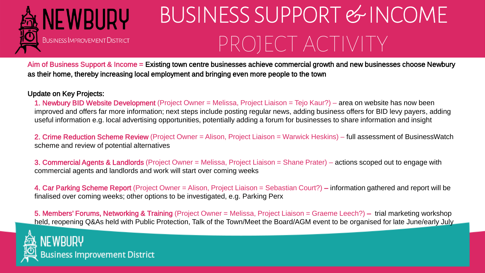# BUSINESS SUPPORT & INCOME PROJECT ACTIVITY

![](_page_9_Picture_0.jpeg)

Aim of Business Support & Income = Existing town centre businesses achieve commercial growth and new businesses choose Newbury as their home, thereby increasing local employment and bringing even more people to the town

Update on Key Projects:

1. Newbury BID Website Development (Project Owner = Melissa, Project Liaison = Tejo Kaur?) – area on website has now been improved and offers far more information; next steps include posting regular news, adding business offers for BID levy payers, adding useful information e.g. local advertising opportunities, potentially adding a forum for businesses to share information and insight

2. Crime Reduction Scheme Review (Project Owner = Alison, Project Liaison = Warwick Heskins) – full assessment of BusinessWatch scheme and review of potential alternatives

3. Commercial Agents & Landlords (Project Owner = Melissa, Project Liaison = Shane Prater) – actions scoped out to engage with commercial agents and landlords and work will start over coming weeks

4. Car Parking Scheme Report (Project Owner = Alison, Project Liaison = Sebastian Court?) – information gathered and report will be finalised over coming weeks; other options to be investigated, e.g. Parking Perx

5. Members' Forums, Networking & Training (Project Owner = Melissa, Project Liaison = Graeme Leech?) – trial marketing workshop held, reopening Q&As held with Public Protection, Talk of the Town/Meet the Board/AGM event to be organised for late June/early July

![](_page_9_Picture_9.jpeg)